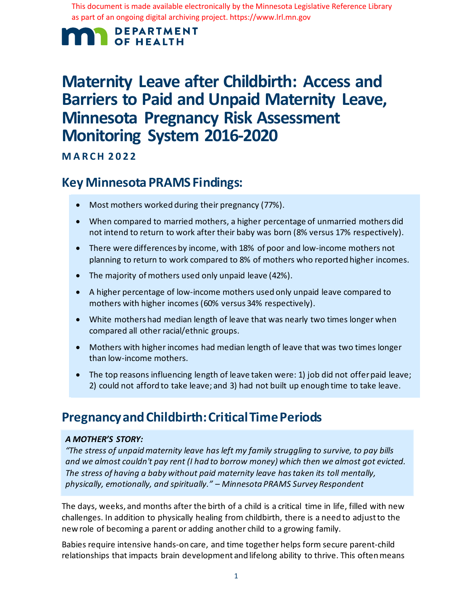This document is made available electronically by the Minnesota Legislative Reference Library as part of an ongoing digital archiving project. https://www.lrl.mn.gov

### **DEPARTMENT OF HEALTH**

# **Maternity Leave after Childbirth: Access and Barriers to Paid and Unpaid Maternity Leave, Minnesota Pregnancy Risk Assessment Monitoring System 2016-2020**

**MARCH 2022**

## **Key Minnesota PRAMS Findings:**

- Most mothers worked during their pregnancy (77%).
- When compared to married mothers, a higher percentage of unmarried mothers did not intend to return to work after their baby was born (8% versus 17% respectively).
- There were differences by income, with 18% of poor and low-income mothers not planning to return to work compared to 8% of mothers who reported higher incomes.
- The majority of mothers used only unpaid leave (42%).
- A higher percentage of low-income mothers used only unpaid leave compared to mothers with higher incomes (60% versus 34% respectively).
- White mothers had median length of leave that was nearly two times longer when compared all other racial/ethnic groups.
- Mothers with higher incomes had median length of leave that was two times longer than low-income mothers.
- The top reasons influencing length of leave taken were: 1) job did not offer paid leave; 2) could not afford to take leave; and 3) had not built up enough time to take leave.

## **Pregnancy and Childbirth: Critical Time Periods**

#### *A MOTHER'S STORY:*

*"The stress of unpaid maternity leave has left my family struggling to survive, to pay bills and we almost couldn't pay rent (I had to borrow money) which then we almost got evicted. The stress of having a baby without paid maternity leave has taken its toll mentally, physically, emotionally, and spiritually." – Minnesota PRAMS Survey Respondent*

The days, weeks, and months after the birth of a child is a critical time in life, filled with new challenges. In addition to physically healing from childbirth, there is a need to adjust to the new role of becoming a parent or adding another child to a growing family.

Babies require intensive hands-on care, and time together helps form secure parent-child relationships that impacts brain development and lifelong ability to thrive. This often means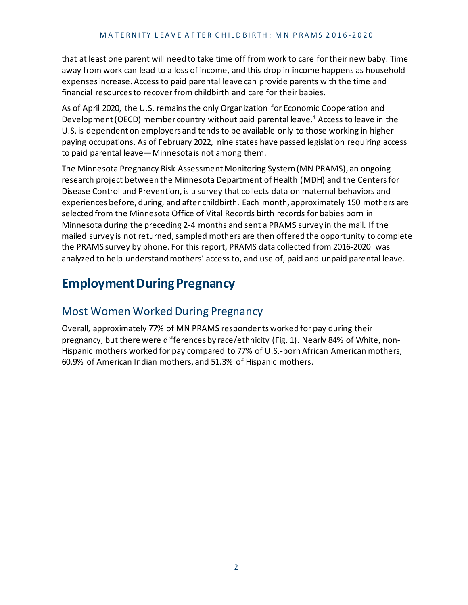that at least one parent will need to take time off from work to care for their new baby. Time away from work can lead to a loss of income, and this drop in income happens as household expenses increase. Access to paid parental leave can provide parents with the time and financial resources to recover from childbirth and care for their babies.

As of April 2020, the U.S. remains the only Organization for Economic Cooperation and Development (OECD) member country without paid parental leave. <sup>1</sup> Access to leave in the U.S. is dependent on employers and tends to be available only to those working in higher paying occupations. As of February 2022, nine states have passed legislation requiring access to paid parental leave—Minnesota is not among them.

The Minnesota Pregnancy Risk Assessment Monitoring System (MN PRAMS), an ongoing research project between the Minnesota Department of Health (MDH) and the Centers for Disease Control and Prevention, is a survey that collects data on maternal behaviors and experiences before, during, and after childbirth. Each month, approximately 150 mothers are selected from the Minnesota Office of Vital Records birth records for babies born in Minnesota during the preceding 2-4 months and sent a PRAMS survey in the mail. If the mailed survey is not returned, sampled mothers are then offered the opportunity to complete the PRAMS survey by phone. For this report, PRAMS data collected from 2016-2020 was analyzed to help understand mothers' access to, and use of, paid and unpaid parental leave.

## **Employment During Pregnancy**

### Most Women Worked During Pregnancy

Overall, approximately 77% of MN PRAMS respondents worked for pay during their pregnancy, but there were differences by race/ethnicity (Fig. 1). Nearly 84% of White, non-Hispanic mothers worked for pay compared to 77% of U.S.-bornAfrican American mothers, 60.9% of American Indian mothers, and 51.3% of Hispanic mothers.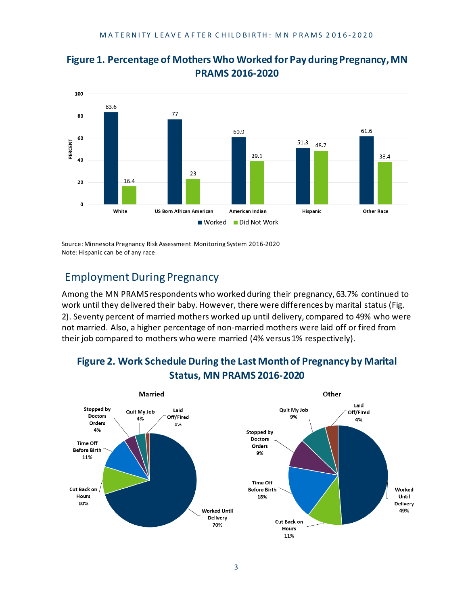

### **Figure 1. Percentage of Mothers Who Worked for Pay during Pregnancy, MN PRAMS 2016-2020**

Source: Minnesota Pregnancy Risk Assessment Monitoring System 2016-2020 Note: Hispanic can be of any race

### Employment During Pregnancy

Among the MN PRAMS respondents who worked during their pregnancy, 63.7% continued to work until they delivered their baby. However, there were differences by marital status (Fig. 2). Seventy percent of married mothers worked up until delivery, compared to 49% who were not married. Also, a higher percentage of non-married mothers were laid off or fired from their job compared to mothers who were married (4% versus 1% respectively).



### **Figure 2. Work Schedule During the Last Month of Pregnancy by Marital Status, MN PRAMS 2016-2020**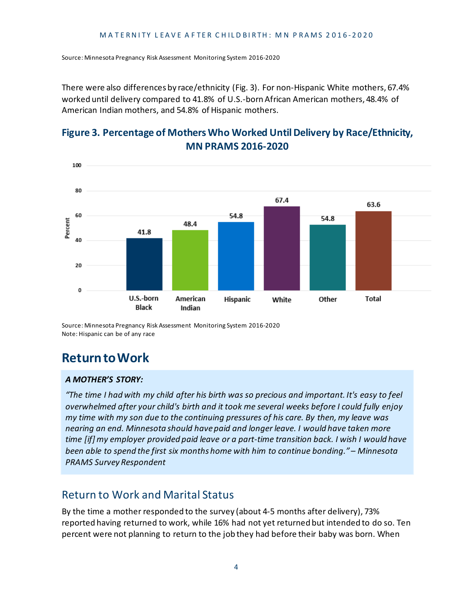Source: Minnesota Pregnancy Risk Assessment Monitoring System 2016-2020

There were also differences by race/ethnicity (Fig. 3). For non-Hispanic White mothers, 67.4% worked until delivery compared to 41.8% of U.S.-born African American mothers, 48.4% of American Indian mothers, and 54.8% of Hispanic mothers.

### **Figure 3. Percentage of Mothers Who Worked Until Delivery by Race/Ethnicity, MN PRAMS 2016-2020**



Source: Minnesota Pregnancy Risk Assessment Monitoring System 2016-2020 Note: Hispanic can be of any race

## **Return to Work**

#### *A MOTHER'S STORY:*

*"The time I had with my child after his birth was so precious and important. It's easy to feel overwhelmed after your child's birth and it took me several weeks before I could fully enjoy my time with my son due to the continuing pressures of his care. By then, my leave was nearing an end. Minnesota should have paid and longer leave. I would have taken more time [if] my employer provided paid leave or a part-time transition back. I wish I would have been able to spend the first six months home with him to continue bonding." – Minnesota PRAMS Survey Respondent*

### Return to Work and Marital Status

By the time a mother responded to the survey (about 4-5 months after delivery), 73% reported having returned to work, while 16% had not yet returned but intended to do so. Ten percent were not planning to return to the job they had before their baby was born. When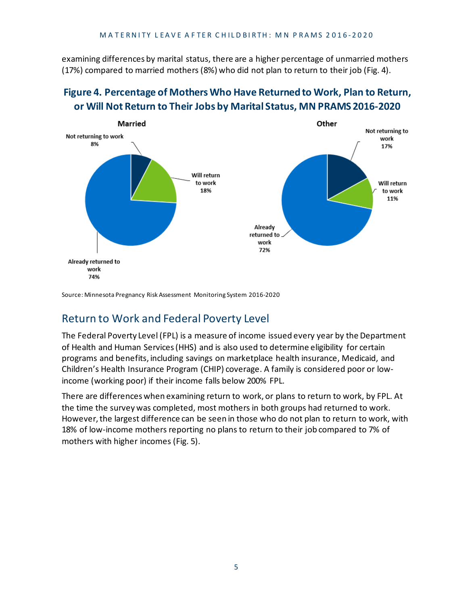examining differences by marital status, there are a higher percentage of unmarried mothers (17%) compared to married mothers (8%) who did not plan to return to their job (Fig. 4).

### **Figure 4. Percentage of Mothers Who Have Returned to Work, Plan to Return, or Will Not Return to Their Jobs by Marital Status, MN PRAMS 2016-2020**



Source: Minnesota Pregnancy Risk Assessment Monitoring System 2016-2020

### Return to Work and Federal Poverty Level

The Federal Poverty Level (FPL) is a measure of income issued every year by the Department of Health and Human Services (HHS) and is also used to determine eligibility for certain programs and benefits, including savings on marketplace health insurance, Medicaid, and Children's Health Insurance Program (CHIP) coverage. A family is considered poor or lowincome (working poor) if their income falls below 200% FPL.

There are differences when examining return to work, or plans to return to work, by FPL. At the time the survey was completed, most mothers in both groups had returned to work. However, the largest difference can be seen in those who do not plan to return to work, with 18% of low-income mothers reporting no plans to return to their job compared to 7% of mothers with higher incomes (Fig. 5).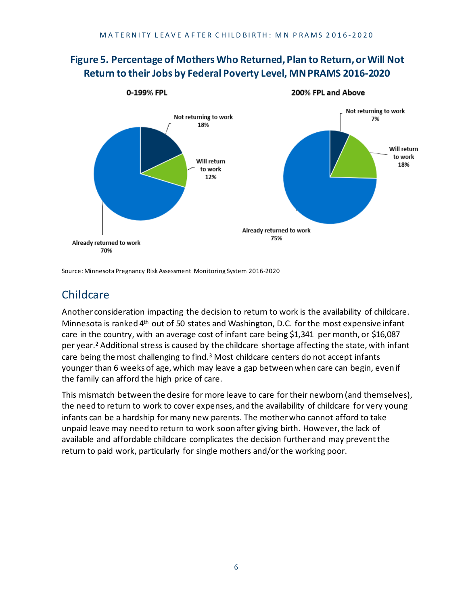### **Figure 5. Percentage of Mothers Who Returned, Plan to Return, or Will Not Return to their Jobs by Federal Poverty Level, MN PRAMS 2016-2020**



Source: Minnesota Pregnancy Risk Assessment Monitoring System 2016-2020

### Childcare

Another consideration impacting the decision to return to work is the availability of childcare. Minnesota is ranked 4th out of 50 states and Washington, D.C. for the most expensive infant care in the country, with an average cost of infant care being \$1,341 per month, or \$16,087 per year.2 Additional stress is caused by the childcare shortage affecting the state, with infant care being the most challenging to find.<sup>3</sup> Most childcare centers do not accept infants younger than 6 weeks of age, which may leave a gap between when care can begin, even if the family can afford the high price of care.

This mismatch between the desire for more leave to care for their newborn (and themselves), the need to return to work to cover expenses, and the availability of childcare for very young infants can be a hardship for many new parents. The mother who cannot afford to take unpaid leave may need to return to work soon after giving birth. However, the lack of available and affordable childcare complicates the decision further and may prevent the return to paid work, particularly for single mothers and/or the working poor.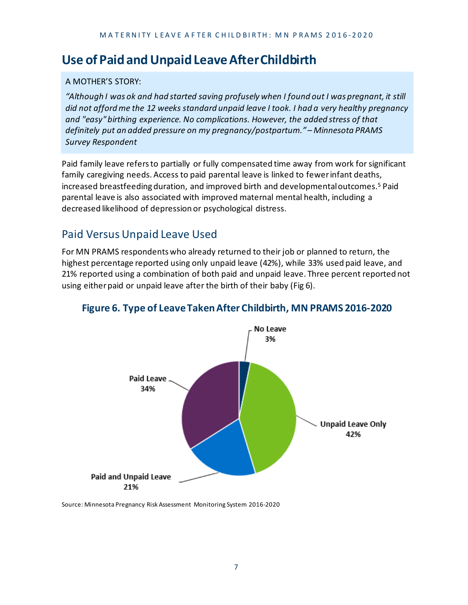### **Use of Paid and Unpaid Leave After Childbirth**

#### A MOTHER'S STORY:

*"Although I was ok and had started saving profusely when I found out I was pregnant, it still did not afford me the 12 weeks standard unpaid leave I took. I had a very healthy pregnancy and "easy" birthing experience. No complications. However, the added stress of that definitely put an added pressure on my pregnancy/postpartum." – Minnesota PRAMS Survey Respondent*

Paid family leave refers to partially or fully compensated time away from work for significant family caregiving needs. Access to paid parental leave is linked to fewer infant deaths, increased breastfeeding duration, and improved birth and developmental outcomes.5 Paid parental leave is also associated with improved maternal mental health, including a decreased likelihood of depression or psychological distress.

### Paid Versus Unpaid Leave Used

For MN PRAMS respondents who already returned to their job or planned to return, the highest percentage reported using only unpaid leave (42%), while 33% used paid leave, and 21% reported using a combination of both paid and unpaid leave. Three percent reported not using either paid or unpaid leave after the birth of their baby (Fig 6).



#### **Figure 6. Type of Leave Taken After Childbirth, MN PRAMS 2016-2020**

Source: Minnesota Pregnancy Risk Assessment Monitoring System 2016-2020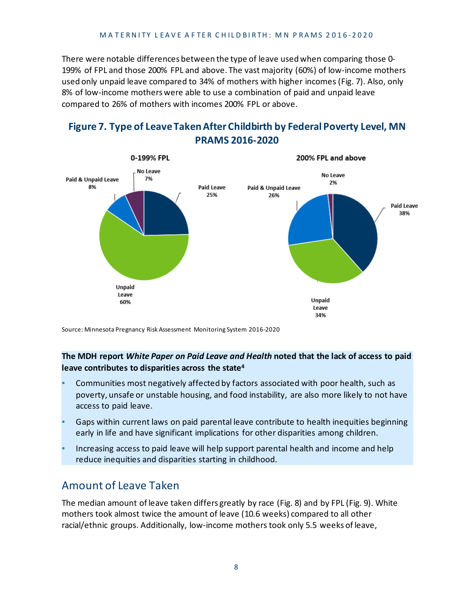There were notable differences between the type of leave used when comparing those 0- 199% of FPL and those 200% FPL and above. The vast majority (60%) of low-income mothers used only unpaid leave compared to 34% of mothers with higher incomes (Fig. 7). Also, only 8% of low-income mothers were able to use a combination of paid and unpaid leave compared to 26% of mothers with incomes 200% FPL or above.

### **Figure 7. Type of Leave Taken After Childbirth by Federal Poverty Level, MN PRAMS 2016-2020**



Source: Minnesota Pregnancy Risk Assessment Monitoring System 2016-2020

#### **The MDH report** *White Paper on Paid Leave and Health* **noted that the lack of access to paid leave contributes to disparities across the state4**

- Communities most negatively affected by factors associated with poor health, such as poverty, unsafe or unstable housing, and food instability, are also more likely to not have access to paid leave.
- Gaps within current laws on paid parental leave contribute to health inequities beginning early in life and have significant implications for other disparities among children.
- Increasing access to paid leave will help support parental health and income and help reduce inequities and disparities starting in childhood.

### Amount of Leave Taken

The median amount of leave taken differs greatly by race (Fig. 8) and by FPL (Fig. 9). White mothers took almost twice the amount of leave (10.6 weeks) compared to all other racial/ethnic groups. Additionally, low-income mothers took only 5.5 weeks of leave,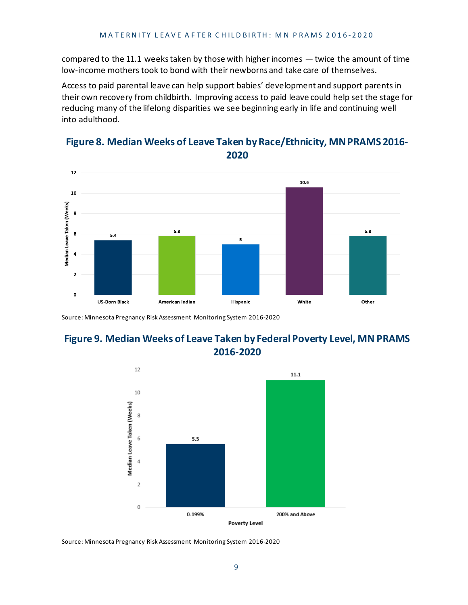compared to the 11.1 weeks taken by those with higher incomes  $-$  twice the amount of time low-income mothers took to bond with their newborns and take care of themselves.

Access to paid parental leave can help support babies' development and support parents in their own recovery from childbirth. Improving access to paid leave could help set the stage for reducing many of the lifelong disparities we see beginning early in life and continuing well into adulthood.



#### **Figure 8. Median Weeks of Leave Taken by Race/Ethnicity, MN PRAMS 2016- 2020**

Source: Minnesota Pregnancy Risk Assessment Monitoring System 2016-2020

### **Figure 9. Median Weeks of Leave Taken by Federal Poverty Level, MN PRAMS 2016-2020**



Source: Minnesota Pregnancy Risk Assessment Monitoring System 2016-2020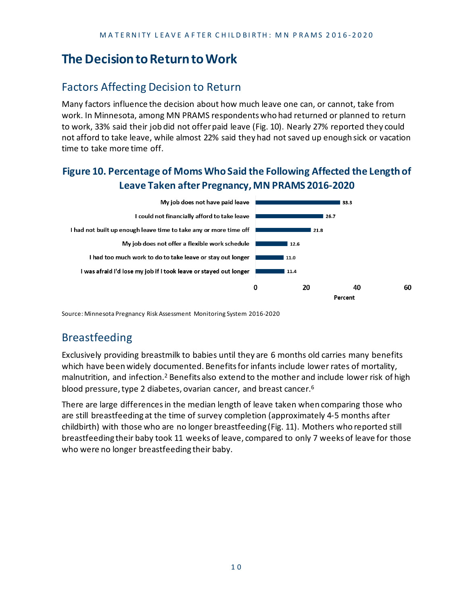## **The Decision to Return to Work**

### Factors Affecting Decision to Return

Many factors influence the decision about how much leave one can, or cannot, take from work. In Minnesota, among MN PRAMS respondents who had returned or planned to return to work, 33% said their job did not offer paid leave (Fig. 10). Nearly 27% reported they could not afford to take leave, while almost 22% said they had not saved up enough sick or vacation time to take more time off.

### **Figure 10. Percentage of Moms Who Said the Following Affected the Length of Leave Taken after Pregnancy,MN PRAMS 2016-2020**



Source: Minnesota Pregnancy Risk Assessment Monitoring System 2016-2020

## Breastfeeding

Exclusively providing breastmilk to babies until they are 6 months old carries many benefits which have been widely documented. Benefits for infants include lower rates of mortality, malnutrition, and infection.<sup>2</sup> Benefits also extend to the mother and include lower risk of high blood pressure, type 2 diabetes, ovarian cancer, and breast cancer.6

There are large differences in the median length of leave taken when comparing those who are still breastfeeding at the time of survey completion (approximately 4-5 months after childbirth) with those who are no longer breastfeeding (Fig. 11). Mothers who reported still breastfeeding their baby took 11 weeks of leave, compared to only 7 weeks of leave for those who were no longer breastfeeding their baby.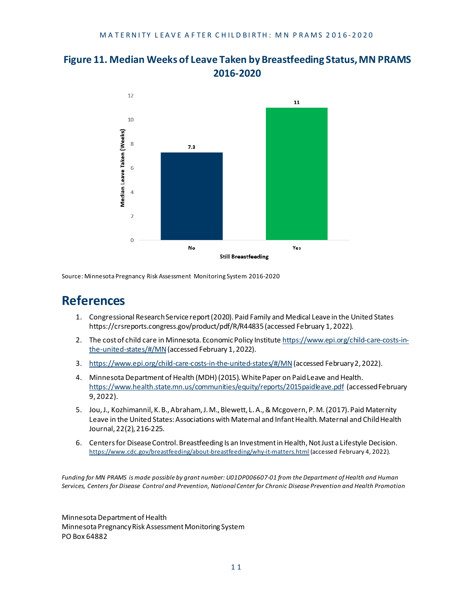



Source: Minnesota Pregnancy Risk Assessment Monitoring System 2016-2020

### **References**

- 1. Congressional Research Service report (2020). Paid Family and Medical Leave in the United States https://crsreports.congress.gov/product/pdf/R/R44835 (accessed February 1, 2022).
- 2. The cost of child care in Minnesota. Economic Policy Institute [https://www.epi.org/child-care-costs-in](https://www.epi.org/child-care-costs-in-the-united-states/#/MN)[the-united-states/#/MN](https://www.epi.org/child-care-costs-in-the-united-states/#/MN)(accessed February 1, 2022).
- 3. <https://www.epi.org/child-care-costs-in-the-united-states/#/MN>(accessed February 2, 2022).
- 4. Minnesota Department of Health (MDH) (2015). White Paper on Paid Leave and Health. <https://www.health.state.mn.us/communities/equity/reports/2015paidleave.pdf> (accessed February 9, 2022).
- 5. Jou, J., Kozhimannil, K. B., Abraham, J. M.,Blewett, L. A., & Mcgovern, P. M. (2017). Paid Maternity Leave in the United States: Associations with Maternal and Infant Health. Maternal and Child Health Journal, 22(2), 216-225.
- 6. Centers for Disease Control. Breastfeeding Is an Investment in Health, Not Just a Lifestyle Decision. <https://www.cdc.gov/breastfeeding/about-breastfeeding/why-it-matters.html> (accessed February 4, 2022).

*Funding for MN PRAMS is made possible by grant number: U01DP006607-01 from the Department of Health and Human Services, Centers for Disease Control and Prevention, National Center for Chronic Disease Prevention and Health Promotion*

Minnesota Department of Health Minnesota Pregnancy Risk Assessment Monitoring System PO Box 64882